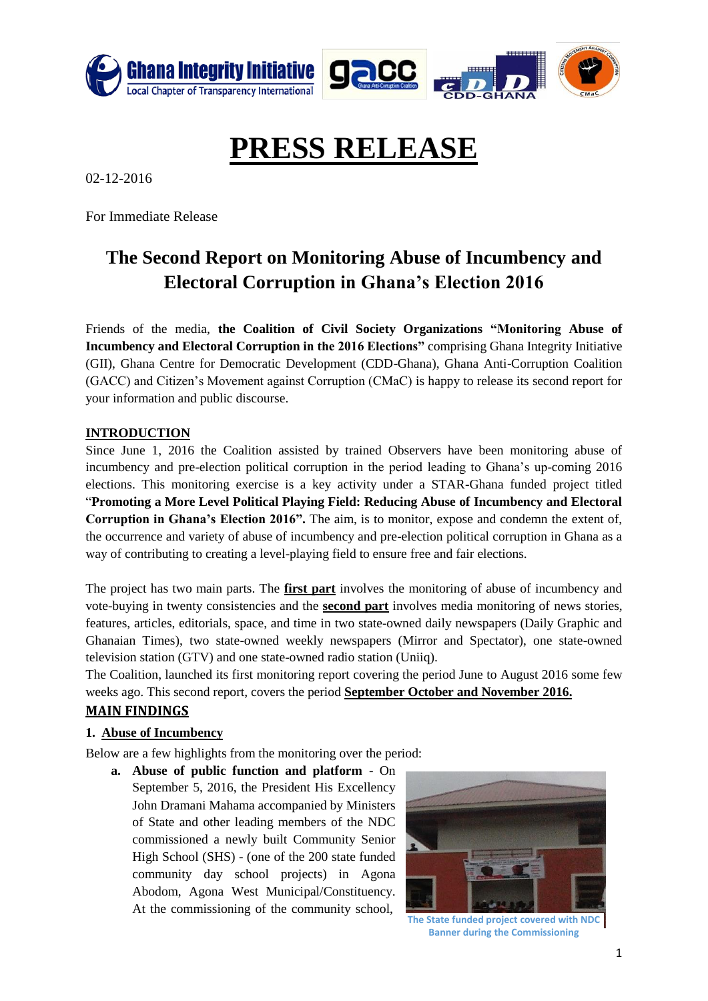

# **PRESS RELEASE**

02-12-2016

For Immediate Release

## **The Second Report on Monitoring Abuse of Incumbency and Electoral Corruption in Ghana's Election 2016**

Friends of the media, **the Coalition of Civil Society Organizations "Monitoring Abuse of Incumbency and Electoral Corruption in the 2016 Elections"** comprising Ghana Integrity Initiative (GII), Ghana Centre for Democratic Development (CDD-Ghana), Ghana Anti-Corruption Coalition (GACC) and Citizen's Movement against Corruption (CMaC) is happy to release its second report for your information and public discourse.

#### **INTRODUCTION**

Since June 1, 2016 the Coalition assisted by trained Observers have been monitoring abuse of incumbency and pre-election political corruption in the period leading to Ghana's up-coming 2016 elections. This monitoring exercise is a key activity under a STAR-Ghana funded project titled "**Promoting a More Level Political Playing Field: Reducing Abuse of Incumbency and Electoral Corruption in Ghana's Election 2016".** The aim, is to monitor, expose and condemn the extent of, the occurrence and variety of abuse of incumbency and pre-election political corruption in Ghana as a way of contributing to creating a level-playing field to ensure free and fair elections.

The project has two main parts. The **first part** involves the monitoring of abuse of incumbency and vote-buying in twenty consistencies and the **second part** involves media monitoring of news stories, features, articles, editorials, space, and time in two state-owned daily newspapers (Daily Graphic and Ghanaian Times), two state-owned weekly newspapers (Mirror and Spectator), one state-owned television station (GTV) and one state-owned radio station (Uniiq).

The Coalition, launched its first monitoring report covering the period June to August 2016 some few weeks ago. This second report, covers the period **September October and November 2016. MAIN FINDINGS** 

#### **1. Abuse of Incumbency**

Below are a few highlights from the monitoring over the period:

**a. Abuse of public function and platform** - On September 5, 2016, the President His Excellency John Dramani Mahama accompanied by Ministers of State and other leading members of the NDC commissioned a newly built Community Senior High School (SHS) - (one of the 200 state funded community day school projects) in Agona Abodom, Agona West Municipal/Constituency. At the commissioning of the community school,



**The State funded project covered with NDC Banner during the Commissioning**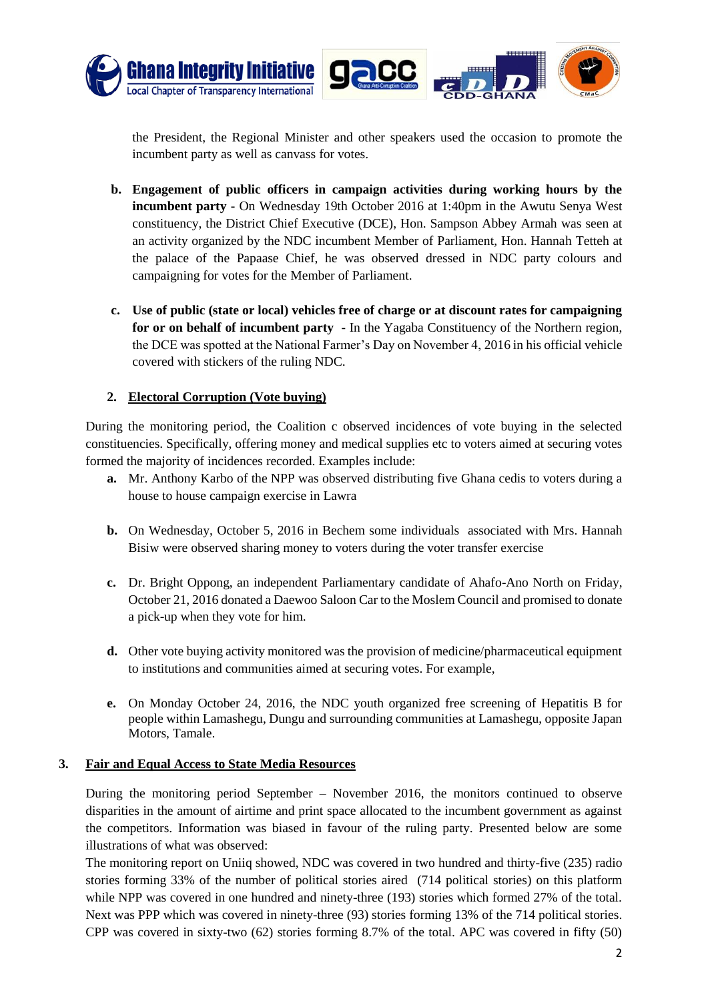

the President, the Regional Minister and other speakers used the occasion to promote the incumbent party as well as canvass for votes.

- **b. Engagement of public officers in campaign activities during working hours by the incumbent party -** On Wednesday 19th October 2016 at 1:40pm in the Awutu Senya West constituency, the District Chief Executive (DCE), Hon. Sampson Abbey Armah was seen at an activity organized by the NDC incumbent Member of Parliament, Hon. Hannah Tetteh at the palace of the Papaase Chief, he was observed dressed in NDC party colours and campaigning for votes for the Member of Parliament.
- **c. Use of public (state or local) vehicles free of charge or at discount rates for campaigning for or on behalf of incumbent party -** In the Yagaba Constituency of the Northern region, the DCE was spotted at the National Farmer's Day on November 4, 2016 in his official vehicle covered with stickers of the ruling NDC.

#### **2. Electoral Corruption (Vote buying)**

During the monitoring period, the Coalition c observed incidences of vote buying in the selected constituencies. Specifically, offering money and medical supplies etc to voters aimed at securing votes formed the majority of incidences recorded. Examples include:

- **a.** Mr. Anthony Karbo of the NPP was observed distributing five Ghana cedis to voters during a house to house campaign exercise in Lawra
- **b.** On Wednesday, October 5, 2016 in Bechem some individuals associated with Mrs. Hannah Bisiw were observed sharing money to voters during the voter transfer exercise
- **c.** Dr. Bright Oppong, an independent Parliamentary candidate of Ahafo-Ano North on Friday, October 21, 2016 donated a Daewoo Saloon Car to the Moslem Council and promised to donate a pick-up when they vote for him.
- **d.** Other vote buying activity monitored was the provision of medicine/pharmaceutical equipment to institutions and communities aimed at securing votes. For example,
- **e.** On Monday October 24, 2016, the NDC youth organized free screening of Hepatitis B for people within Lamashegu, Dungu and surrounding communities at Lamashegu, opposite Japan Motors, Tamale.

#### **3. Fair and Equal Access to State Media Resources**

During the monitoring period September – November 2016, the monitors continued to observe disparities in the amount of airtime and print space allocated to the incumbent government as against the competitors. Information was biased in favour of the ruling party. Presented below are some illustrations of what was observed:

The monitoring report on Uniiq showed, NDC was covered in two hundred and thirty-five (235) radio stories forming 33% of the number of political stories aired (714 political stories) on this platform while NPP was covered in one hundred and ninety-three (193) stories which formed 27% of the total. Next was PPP which was covered in ninety-three (93) stories forming 13% of the 714 political stories. CPP was covered in sixty-two (62) stories forming 8.7% of the total. APC was covered in fifty (50)